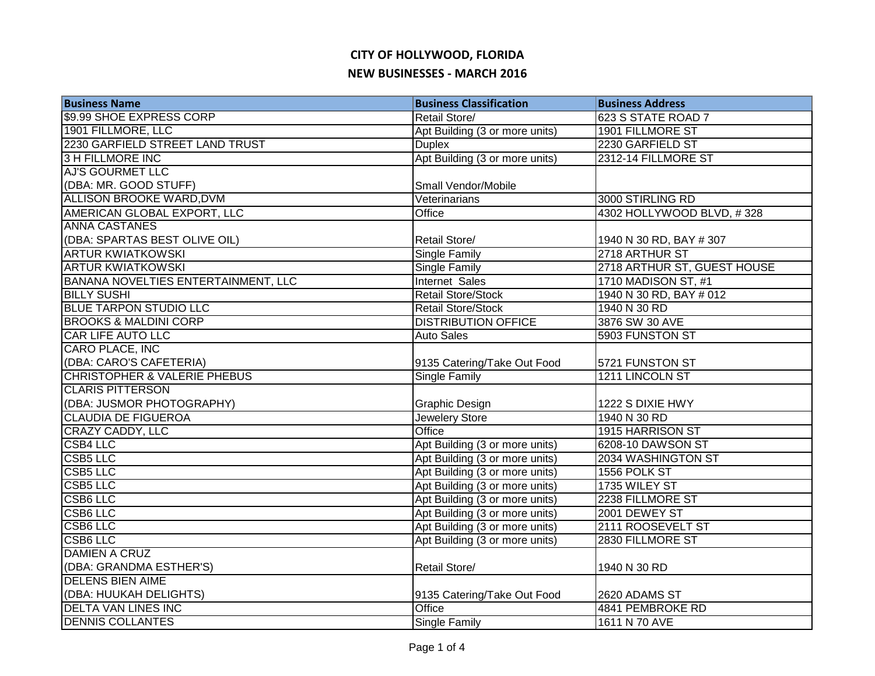| <b>Business Name</b>                    | <b>Business Classification</b> | <b>Business Address</b>     |
|-----------------------------------------|--------------------------------|-----------------------------|
| \$9.99 SHOE EXPRESS CORP                | Retail Store/                  | 623 S STATE ROAD 7          |
| 1901 FILLMORE, LLC                      | Apt Building (3 or more units) | 1901 FILLMORE ST            |
| 2230 GARFIELD STREET LAND TRUST         | <b>Duplex</b>                  | 2230 GARFIELD ST            |
| <b>3 H FILLMORE INC</b>                 | Apt Building (3 or more units) | 2312-14 FILLMORE ST         |
| <b>AJ'S GOURMET LLC</b>                 |                                |                             |
| (DBA: MR. GOOD STUFF)                   | Small Vendor/Mobile            |                             |
| <b>ALLISON BROOKE WARD, DVM</b>         | Veterinarians                  | 3000 STIRLING RD            |
| AMERICAN GLOBAL EXPORT, LLC             | Office                         | 4302 HOLLYWOOD BLVD, #328   |
| <b>ANNA CASTANES</b>                    |                                |                             |
| (DBA: SPARTAS BEST OLIVE OIL)           | Retail Store/                  | 1940 N 30 RD, BAY # 307     |
| <b>ARTUR KWIATKOWSKI</b>                | Single Family                  | 2718 ARTHUR ST              |
| <b>ARTUR KWIATKOWSKI</b>                | Single Family                  | 2718 ARTHUR ST, GUEST HOUSE |
| BANANA NOVELTIES ENTERTAINMENT, LLC     | Internet Sales                 | 1710 MADISON ST, #1         |
| <b>BILLY SUSHI</b>                      | <b>Retail Store/Stock</b>      | 1940 N 30 RD, BAY # 012     |
| <b>BLUE TARPON STUDIO LLC</b>           | Retail Store/Stock             | 1940 N 30 RD                |
| <b>BROOKS &amp; MALDINI CORP</b>        | <b>DISTRIBUTION OFFICE</b>     | 3876 SW 30 AVE              |
| <b>CAR LIFE AUTO LLC</b>                | <b>Auto Sales</b>              | 5903 FUNSTON ST             |
| <b>CARO PLACE, INC</b>                  |                                |                             |
| (DBA: CARO'S CAFETERIA)                 | 9135 Catering/Take Out Food    | 5721 FUNSTON ST             |
| <b>CHRISTOPHER &amp; VALERIE PHEBUS</b> | <b>Single Family</b>           | 1211 LINCOLN ST             |
| <b>CLARIS PITTERSON</b>                 |                                |                             |
| (DBA: JUSMOR PHOTOGRAPHY)               | Graphic Design                 | 1222 S DIXIE HWY            |
| <b>CLAUDIA DE FIGUEROA</b>              | <b>Jewelery Store</b>          | 1940 N 30 RD                |
| <b>CRAZY CADDY, LLC</b>                 | Office                         | 1915 HARRISON ST            |
| <b>CSB4 LLC</b>                         | Apt Building (3 or more units) | 6208-10 DAWSON ST           |
| <b>CSB5 LLC</b>                         | Apt Building (3 or more units) | 2034 WASHINGTON ST          |
| <b>CSB5 LLC</b>                         | Apt Building (3 or more units) | 1556 POLK ST                |
| <b>CSB5 LLC</b>                         | Apt Building (3 or more units) | 1735 WILEY ST               |
| <b>CSB6 LLC</b>                         | Apt Building (3 or more units) | 2238 FILLMORE ST            |
| <b>CSB6 LLC</b>                         | Apt Building (3 or more units) | 2001 DEWEY ST               |
| <b>CSB6 LLC</b>                         | Apt Building (3 or more units) | 2111 ROOSEVELT ST           |
| <b>CSB6 LLC</b>                         | Apt Building (3 or more units) | 2830 FILLMORE ST            |
| <b>DAMIEN A CRUZ</b>                    |                                |                             |
| (DBA: GRANDMA ESTHER'S)                 | <b>Retail Store/</b>           | 1940 N 30 RD                |
| <b>DELENS BIEN AIME</b>                 |                                |                             |
| (DBA: HUUKAH DELIGHTS)                  | 9135 Catering/Take Out Food    | 2620 ADAMS ST               |
| <b>DELTA VAN LINES INC</b>              | Office                         | 4841 PEMBROKE RD            |
| <b>DENNIS COLLANTES</b>                 | Single Family                  | 1611 N 70 AVE               |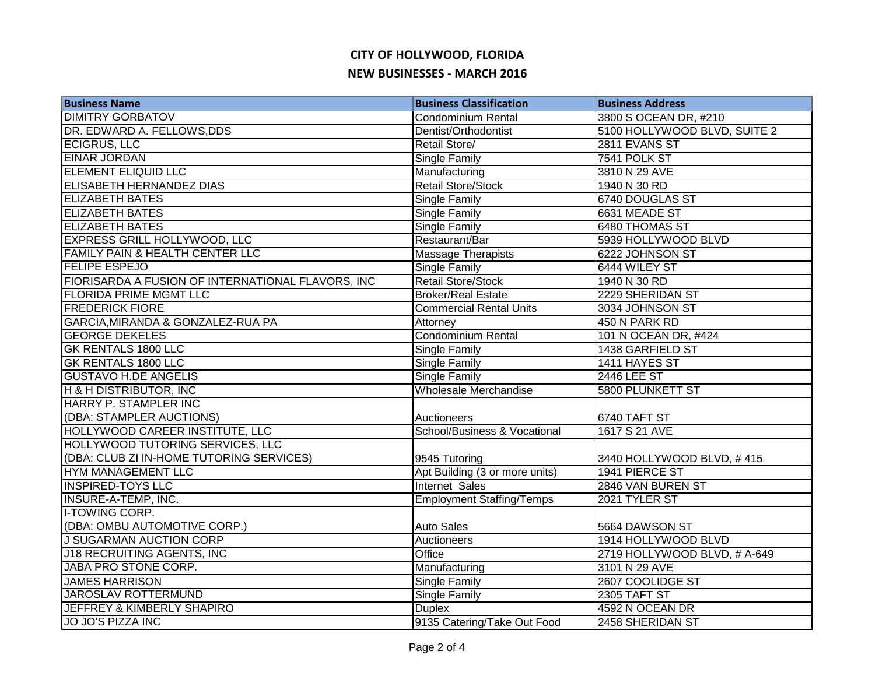| <b>Business Name</b>                              | <b>Business Classification</b>   | <b>Business Address</b>      |
|---------------------------------------------------|----------------------------------|------------------------------|
| <b>DIMITRY GORBATOV</b>                           | <b>Condominium Rental</b>        | 3800 S OCEAN DR, #210        |
| DR. EDWARD A. FELLOWS, DDS                        | Dentist/Orthodontist             | 5100 HOLLYWOOD BLVD, SUITE 2 |
| <b>ECIGRUS, LLC</b>                               | Retail Store/                    | 2811 EVANS ST                |
| <b>EINAR JORDAN</b>                               | Single Family                    | 7541 POLK ST                 |
| <b>ELEMENT ELIQUID LLC</b>                        | Manufacturing                    | 3810 N 29 AVE                |
| ELISABETH HERNANDEZ DIAS                          | <b>Retail Store/Stock</b>        | 1940 N 30 RD                 |
| <b>ELIZABETH BATES</b>                            | Single Family                    | 6740 DOUGLAS ST              |
| <b>ELIZABETH BATES</b>                            | Single Family                    | 6631 MEADE ST                |
| <b>ELIZABETH BATES</b>                            | Single Family                    | 6480 THOMAS ST               |
| EXPRESS GRILL HOLLYWOOD, LLC                      | Restaurant/Bar                   | 5939 HOLLYWOOD BLVD          |
| FAMILY PAIN & HEALTH CENTER LLC                   | Massage Therapists               | 6222 JOHNSON ST              |
| <b>FELIPE ESPEJO</b>                              | Single Family                    | 6444 WILEY ST                |
| FIORISARDA A FUSION OF INTERNATIONAL FLAVORS, INC | <b>Retail Store/Stock</b>        | 1940 N 30 RD                 |
| <b>FLORIDA PRIME MGMT LLC</b>                     | <b>Broker/Real Estate</b>        | 2229 SHERIDAN ST             |
| <b>FREDERICK FIORE</b>                            | <b>Commercial Rental Units</b>   | 3034 JOHNSON ST              |
| GARCIA, MIRANDA & GONZALEZ-RUA PA                 | Attorney                         | 450 N PARK RD                |
| <b>GEORGE DEKELES</b>                             | <b>Condominium Rental</b>        | 101 N OCEAN DR, #424         |
| <b>GK RENTALS 1800 LLC</b>                        | Single Family                    | 1438 GARFIELD ST             |
| <b>GK RENTALS 1800 LLC</b>                        | Single Family                    | 1411 HAYES ST                |
| <b>GUSTAVO H.DE ANGELIS</b>                       | <b>Single Family</b>             | 2446 LEE ST                  |
| H & H DISTRIBUTOR, INC                            | <b>Wholesale Merchandise</b>     | <b>5800 PLUNKETT ST</b>      |
| <b>HARRY P. STAMPLER INC</b>                      |                                  |                              |
| (DBA: STAMPLER AUCTIONS)                          | Auctioneers                      | 6740 TAFT ST                 |
| HOLLYWOOD CAREER INSTITUTE, LLC                   | School/Business & Vocational     | 1617 S 21 AVE                |
| HOLLYWOOD TUTORING SERVICES, LLC                  |                                  |                              |
| (DBA: CLUB ZI IN-HOME TUTORING SERVICES)          | 9545 Tutoring                    | 3440 HOLLYWOOD BLVD, #415    |
| <b>HYM MANAGEMENT LLC</b>                         | Apt Building (3 or more units)   | 1941 PIERCE ST               |
| <b>INSPIRED-TOYS LLC</b>                          | Internet Sales                   | 2846 VAN BUREN ST            |
| <b>INSURE-A-TEMP, INC.</b>                        | <b>Employment Staffing/Temps</b> | 2021 TYLER ST                |
| <b>I-TOWING CORP.</b>                             |                                  |                              |
| (DBA: OMBU AUTOMOTIVE CORP.)                      | <b>Auto Sales</b>                | 5664 DAWSON ST               |
| J SUGARMAN AUCTION CORP                           | Auctioneers                      | 1914 HOLLYWOOD BLVD          |
| J18 RECRUITING AGENTS, INC                        | Office                           | 2719 HOLLYWOOD BLVD, # A-649 |
| <b>JABA PRO STONE CORP.</b>                       | Manufacturing                    | 3101 N 29 AVE                |
| <b>JAMES HARRISON</b>                             | Single Family                    | 2607 COOLIDGE ST             |
| <b>JAROSLAV ROTTERMUND</b>                        | <b>Single Family</b>             | 2305 TAFT ST                 |
| <b>JEFFREY &amp; KIMBERLY SHAPIRO</b>             | <b>Duplex</b>                    | 4592 N OCEAN DR              |
| <b>JO JO'S PIZZA INC</b>                          | 9135 Catering/Take Out Food      | 2458 SHERIDAN ST             |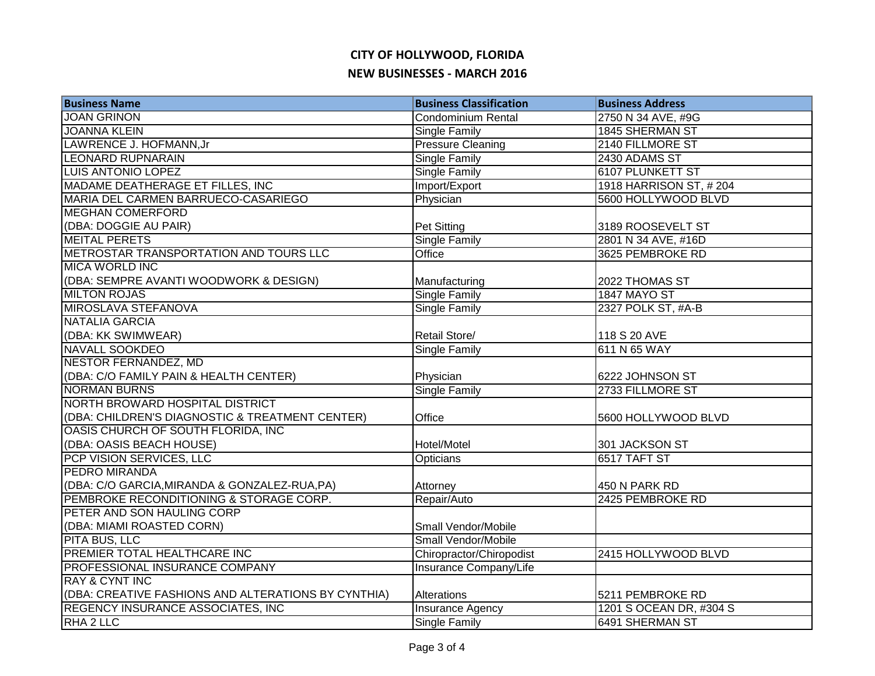| <b>Business Name</b>                                | <b>Business Classification</b> | <b>Business Address</b> |
|-----------------------------------------------------|--------------------------------|-------------------------|
| <b>JOAN GRINON</b>                                  | <b>Condominium Rental</b>      | 2750 N 34 AVE, #9G      |
| <b>JOANNA KLEIN</b>                                 | <b>Single Family</b>           | 1845 SHERMAN ST         |
| LAWRENCE J. HOFMANN, Jr                             | <b>Pressure Cleaning</b>       | 2140 FILLMORE ST        |
| LEONARD RUPNARAIN                                   | <b>Single Family</b>           | 2430 ADAMS ST           |
| <b>LUIS ANTONIO LOPEZ</b>                           | <b>Single Family</b>           | <b>6107 PLUNKETT ST</b> |
| MADAME DEATHERAGE ET FILLES, INC                    | Import/Export                  | 1918 HARRISON ST, #204  |
| MARIA DEL CARMEN BARRUECO-CASARIEGO                 | Physician                      | 5600 HOLLYWOOD BLVD     |
| <b>MEGHAN COMERFORD</b>                             |                                |                         |
| (DBA: DOGGIE AU PAIR)                               | Pet Sitting                    | 3189 ROOSEVELT ST       |
| <b>MEITAL PERETS</b>                                | <b>Single Family</b>           | 2801 N 34 AVE, #16D     |
| METROSTAR TRANSPORTATION AND TOURS LLC              | Office                         | 3625 PEMBROKE RD        |
| <b>MICA WORLD INC</b>                               |                                |                         |
| (DBA: SEMPRE AVANTI WOODWORK & DESIGN)              | Manufacturing                  | 2022 THOMAS ST          |
| <b>MILTON ROJAS</b>                                 | Single Family                  | <b>1847 MAYO ST</b>     |
| MIROSLAVA STEFANOVA                                 | Single Family                  | 2327 POLK ST, #A-B      |
| <b>NATALIA GARCIA</b>                               |                                |                         |
| (DBA: KK SWIMWEAR)                                  | Retail Store/                  | 118 S 20 AVE            |
| <b>NAVALL SOOKDEO</b>                               | <b>Single Family</b>           | 611 N 65 WAY            |
| <b>NESTOR FERNANDEZ, MD</b>                         |                                |                         |
| (DBA: C/O FAMILY PAIN & HEALTH CENTER)              | Physician                      | 6222 JOHNSON ST         |
| <b>NORMAN BURNS</b>                                 | <b>Single Family</b>           | 2733 FILLMORE ST        |
| NORTH BROWARD HOSPITAL DISTRICT                     |                                |                         |
| (DBA: CHILDREN'S DIAGNOSTIC & TREATMENT CENTER)     | Office                         | 5600 HOLLYWOOD BLVD     |
| OASIS CHURCH OF SOUTH FLORIDA, INC                  |                                |                         |
| (DBA: OASIS BEACH HOUSE)                            | Hotel/Motel                    | 301 JACKSON ST          |
| PCP VISION SERVICES, LLC                            | <b>Opticians</b>               | 6517 TAFT ST            |
| <b>PEDRO MIRANDA</b>                                |                                |                         |
| (DBA: C/O GARCIA, MIRANDA & GONZALEZ-RUA, PA)       | Attorney                       | 450 N PARK RD           |
| PEMBROKE RECONDITIONING & STORAGE CORP.             | Repair/Auto                    | 2425 PEMBROKE RD        |
| PETER AND SON HAULING CORP                          |                                |                         |
| (DBA: MIAMI ROASTED CORN)                           | Small Vendor/Mobile            |                         |
| <b>PITA BUS, LLC</b>                                | Small Vendor/Mobile            |                         |
| PREMIER TOTAL HEALTHCARE INC                        | Chiropractor/Chiropodist       | 2415 HOLLYWOOD BLVD     |
| PROFESSIONAL INSURANCE COMPANY                      | Insurance Company/Life         |                         |
| <b>RAY &amp; CYNT INC</b>                           |                                |                         |
| (DBA: CREATIVE FASHIONS AND ALTERATIONS BY CYNTHIA) | Alterations                    | 5211 PEMBROKE RD        |
| <b>REGENCY INSURANCE ASSOCIATES, INC</b>            | Insurance Agency               | 1201 S OCEAN DR, #304 S |
| RHA 2 LLC                                           | Single Family                  | 6491 SHERMAN ST         |